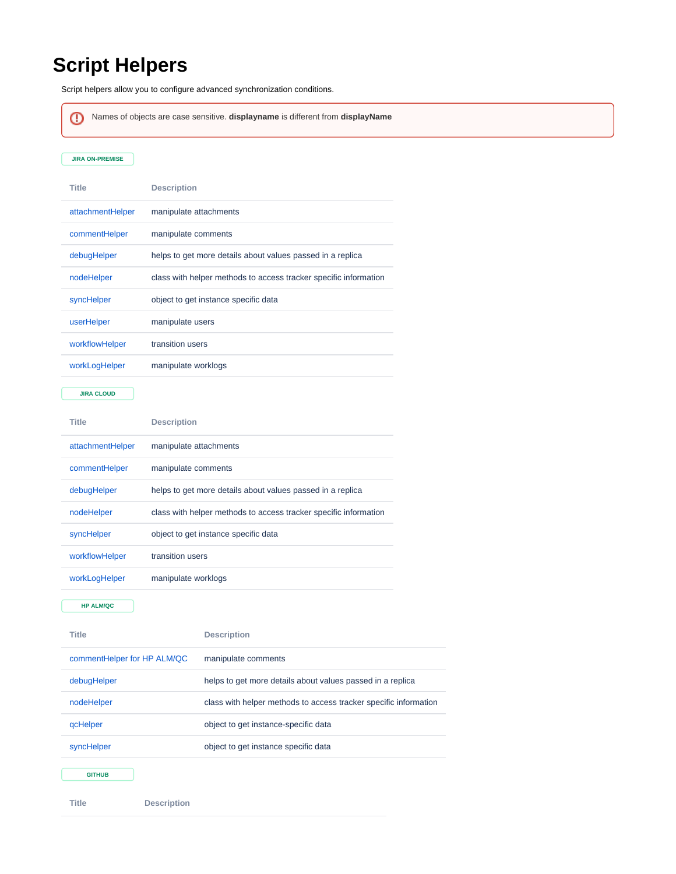## **Script Helpers**

**Title Description**

Script helpers allow you to configure advanced synchronization conditions.

Names of objects are case sensitive. **displayname** is different from **displayName**ω **JIRA ON-PREMISE Title Description** [attachmentHelper](https://docs.idalko.com/exalate/display/ED/attachmentHelper) manipulate attachments [commentHelper](https://docs.idalko.com/exalate/display/ED/commentHelper) manipulate comments [debugHelper](https://docs.idalko.com/exalate/display/ED/debugHelper) helps to get more details about values passed in a replica [nodeHelper](https://docs.idalko.com/exalate/display/ED/nodeHelper) class with helper methods to access tracker specific information [syncHelper](https://docs.idalko.com/exalate/display/ED/syncHelper) object to get instance specific data [userHelper](https://docs.idalko.com/exalate/display/ED/userHelper) manipulate users [workflowHelper](https://docs.idalko.com/exalate/display/ED/workflowHelper) transition users [workLogHelper](https://docs.idalko.com/exalate/display/ED/workLogHelper) manipulate worklogs **JIRA CLOUD Title Description** [attachmentHelper](https://docs.idalko.com/exalate/display/ED/attachmentHelper) manipulate attachments [commentHelper](https://docs.idalko.com/exalate/display/ED/commentHelper) manipulate comments [debugHelper](https://docs.idalko.com/exalate/display/ED/debugHelper) helps to get more details about values passed in a replica [nodeHelper](https://docs.idalko.com/exalate/display/ED/nodeHelper) class with helper methods to access tracker specific information [syncHelper](https://docs.idalko.com/exalate/display/ED/syncHelper) object to get instance specific data [workflowHelper](https://docs.idalko.com/exalate/display/ED/workflowHelper) transition users [workLogHelper](https://docs.idalko.com/exalate/display/ED/workLogHelper) manipulate worklogs **HP ALM/QC Title Description** [commentHelper for HP ALM/QC](https://docs.idalko.com/exalate/pages/viewpage.action?pageId=11830568) manipulate comments [debugHelper](https://docs.idalko.com/exalate/display/ED/debugHelper) helps to get more details about values passed in a replica [nodeHelper](https://docs.idalko.com/exalate/display/ED/nodeHelper) class with helper methods to access tracker specific information [qcHelper](https://docs.idalko.com/exalate/display/ED/qcHelper) object to get instance-specific data [syncHelper](https://docs.idalko.com/exalate/display/ED/syncHelper) object to get instance specific data **GITHUB**